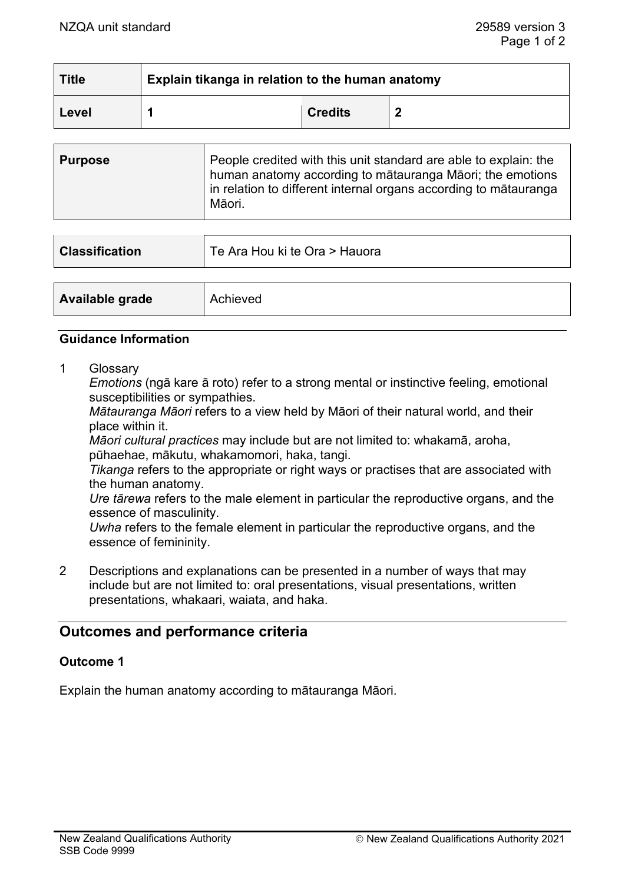| <b>Title</b> | Explain tikanga in relation to the human anatomy |                |  |
|--------------|--------------------------------------------------|----------------|--|
| Level        |                                                  | <b>Credits</b> |  |

| <b>Purpose</b> | People credited with this unit standard are able to explain: the<br>human anatomy according to mātauranga Māori; the emotions<br>in relation to different internal organs according to matauranga<br>Māori. |
|----------------|-------------------------------------------------------------------------------------------------------------------------------------------------------------------------------------------------------------|
|                |                                                                                                                                                                                                             |

| <b>Classification</b> | Te Ara Hou ki te Ora > Hauora |
|-----------------------|-------------------------------|
|                       |                               |
| Available grade       | Achieved                      |

#### **Guidance Information**

1 Glossary

*Emotions* (ngā kare ā roto) refer to a strong mental or instinctive feeling, emotional susceptibilities or sympathies.

*Mātauranga Māori* refers to a view held by Māori of their natural world, and their place within it.

*Māori cultural practices* may include but are not limited to: whakamā, aroha, pūhaehae, mākutu, whakamomori, haka, tangi.

*Tikanga* refers to the appropriate or right ways or practises that are associated with the human anatomy.

*Ure tārewa* refers to the male element in particular the reproductive organs, and the essence of masculinity.

*Uwha* refers to the female element in particular the reproductive organs, and the essence of femininity.

2 Descriptions and explanations can be presented in a number of ways that may include but are not limited to: oral presentations, visual presentations, written presentations, whakaari, waiata, and haka.

# **Outcomes and performance criteria**

## **Outcome 1**

Explain the human anatomy according to mātauranga Māori.